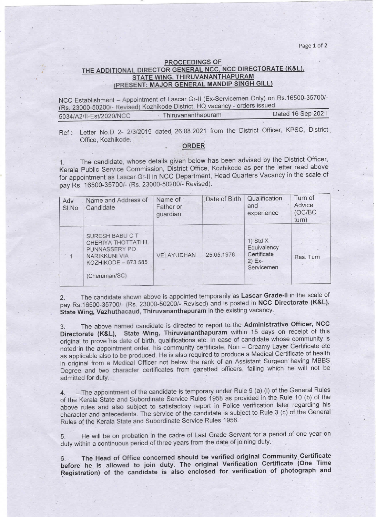Page 1 of 2

## PROCEEDINGS OF THE ADDITIONAL DIRECTOR GENERAL NCC, NCC DIRECTORATE (K&L), STATE WING, THIRUVANANTHAPURAM PRESENT: MAJOR GENERAL MANDIP SINGH GILL

NCC Establishment - Appointment of Lascar Gr-II (Ex-Servicemen Only) on Rs.16500-35700/-(Rs. 23000-50200/- Revised) Kozhikode District, HQ vacancy - orders issued.<br>5034/42/ILEst/2020/NCC Thiruvananthapuram Dated 16 Sep 2021 5034/A2/II-Est/2020/NCC Thiruvananthapuram

Ref : Letter No.D 2- 2/3/2019 dated 26.08.2021 from the District Officer, KPSC, District Office, Kozhikode.

## • ORDER

1. The candidate, whose details given below has been advised by the District Officer, Kerala Public Service Commission, District Office, Kozhikode as per the letter read above for appointment as Lascar Gr-II in NCC Department, Head Quarters Vacancy in the scale of pay Rs.16500-35700/-(Rs. 23000-50200/-Revised).

| Adv<br>SI.No | Name and Address of<br>Candidate                                                                                | Name of<br>Father or<br>guardian | Date of Birth | Qualification<br>and<br>experience                                 | Turn of<br>Advice<br>(OC/BC)<br>turn) |
|--------------|-----------------------------------------------------------------------------------------------------------------|----------------------------------|---------------|--------------------------------------------------------------------|---------------------------------------|
|              | SURESH BABU C T<br>CHERIYA THOTTATHIL<br>PUNNASSERY PO<br>NARIKKUNI VIA<br>KOZHIKODE - 673 585<br>(Cheruman/SC) | VELAYUDHAN                       | 25.05.1978    | 1) Std $X$<br>Equivalency<br>Certificate<br>$2)$ Ex-<br>Servicemen | Res. Turn                             |

2. The candidate shown above is appointed temporarily as Lascar Grade-II in the scale of pay Rs.16500-35700/- (Rs. 23000-50200/- Revised) and is posted in NCC Directorate (K&L), State Wing, Vazhuthacaud, Thiruvananthapuram in the existing vacancy.

3. The above named candidate is directed to report to. the Administrative Officer, NCC Directorate (K&L), State Wing, Thiruvananthapuram within 15 days on receipt of this original to prove his date of birth, qualifications etc. In case of candidate whose community is noted in the appointment order, his community certificate, Non - Creamy Layer Certificate etc as applicable also to be produced. He is also required to produce a Medical Certificate of health in original from a Medical Officer not below the rank of an Assistant Surgeon having MBBS Degree and two character certificates from garetted officers, failing which he will not be admitted for duty.

4. \_ The appointment of the candidate is temporary under Rule 9 (a) (i) of the General Rules of the Kerala State and Subordinate Service Rules 1958 as provided in the Rule 10 (b) of the above rules and also subject to satisfactory report in Police verification later regarding his character and antecedents. The service of the candidate is subject to Rule 3 (c) of the General Rules of the Kerala State and Subordinate Service Rules 1958. .

5. He will be on probation in the cadre of Last Grade Servant for a period of one year on duty within a continuous period of three years from the date of joining duty.

6. The Head of Office concerned should be verified original Community Certificate before he is allowed to join duty. The original Verification Certificate (One Time Registration) of the candidate is also enclosed for verification of photograph and